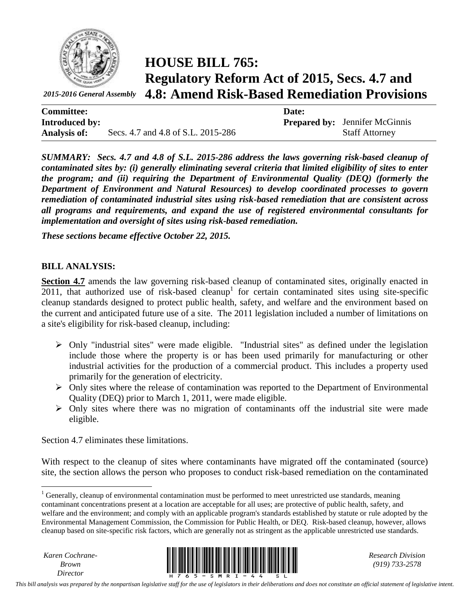

**HOUSE BILL 765: Regulatory Reform Act of 2015, Secs. 4.7 and 4.8: Amend Risk-Based Remediation Provisions**

| <b>Committee:</b>     |                                    | Date: |                                       |
|-----------------------|------------------------------------|-------|---------------------------------------|
| <b>Introduced by:</b> |                                    |       | <b>Prepared by:</b> Jennifer McGinnis |
| <b>Analysis of:</b>   | Secs. 4.7 and 4.8 of S.L. 2015-286 |       | <b>Staff Attorney</b>                 |

*SUMMARY: Secs. 4.7 and 4.8 of S.L. 2015-286 address the laws governing risk-based cleanup of contaminated sites by: (i) generally eliminating several criteria that limited eligibility of sites to enter the program; and (ii) requiring the Department of Environmental Quality (DEQ) (formerly the Department of Environment and Natural Resources) to develop coordinated processes to govern remediation of contaminated industrial sites using risk-based remediation that are consistent across all programs and requirements, and expand the use of registered environmental consultants for implementation and oversight of sites using risk-based remediation.*

*These sections became effective October 22, 2015.*

## **BILL ANALYSIS:**

**Section 4.7** amends the law governing risk-based cleanup of contaminated sites, originally enacted in  $2011$ , that authorized use of risk-based cleanup<sup>1</sup> for certain contaminated sites using site-specific cleanup standards designed to protect public health, safety, and welfare and the environment based on the current and anticipated future use of a site. The 2011 legislation included a number of limitations on a site's eligibility for risk-based cleanup, including:

- $\triangleright$  Only "industrial sites" were made eligible. "Industrial sites" as defined under the legislation include those where the property is or has been used primarily for manufacturing or other industrial activities for the production of a commercial product. This includes a property used primarily for the generation of electricity.
- $\triangleright$  Only sites where the release of contamination was reported to the Department of Environmental Quality (DEQ) prior to March 1, 2011, were made eligible.
- $\triangleright$  Only sites where there was no migration of contaminants off the industrial site were made eligible.

Section 4.7 eliminates these limitations.

With respect to the cleanup of sites where contaminants have migrated off the contaminated (source) site, the section allows the person who proposes to conduct risk-based remediation on the contaminated

*Karen Cochrane-Brown*

 $\overline{a}$ 



*(919) 733-2578*

 $1$  Generally, cleanup of environmental contamination must be performed to meet unrestricted use standards, meaning contaminant concentrations present at a location are acceptable for all uses; are protective of public health, safety, and welfare and the environment; and comply with an applicable program's standards established by statute or rule adopted by the Environmental Management Commission, the Commission for Public Health, or DEQ. Risk-based cleanup, however, allows cleanup based on site-specific risk factors, which are generally not as stringent as the applicable unrestricted use standards.